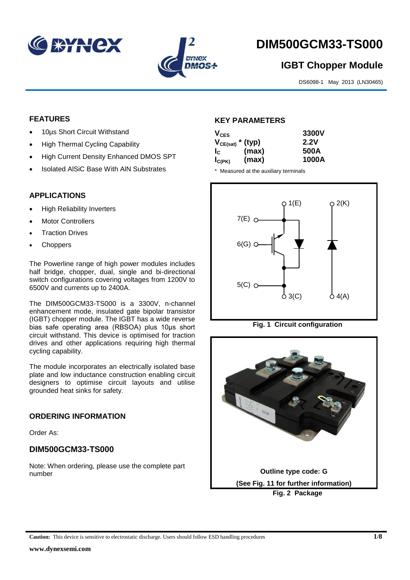



# **DIM500GCM33-TS000**

## **IGBT Chopper Module**

DS6098-1 May 2013 (LN30465)

#### **FEATURES**

- 10µs Short Circuit Withstand
- High Thermal Cycling Capability
- High Current Density Enhanced DMOS SPT
- Isolated AlSiC Base With AlN Substrates

### **APPLICATIONS**

- High Reliability Inverters
- Motor Controllers
- Traction Drives
- Choppers

The Powerline range of high power modules includes half bridge, chopper, dual, single and bi-directional switch configurations covering voltages from 1200V to 6500V and currents up to 2400A.

The DIM500GCM33-TS000 is a 3300V, n-channel enhancement mode, insulated gate bipolar transistor (IGBT) chopper module. The IGBT has a wide reverse bias safe operating area (RBSOA) plus 10μs short circuit withstand. This device is optimised for traction drives and other applications requiring high thermal cycling capability.

The module incorporates an electrically isolated base plate and low inductance construction enabling circuit designers to optimise circuit layouts and utilise grounded heat sinks for safety.

#### **ORDERING INFORMATION**

Order As:

### **DIM500GCM33-TS000**

Note: When ordering, please use the complete part number

#### **KEY PARAMETERS**

| $V_{CES}$                 |       | 3300V |
|---------------------------|-------|-------|
| $V_{CE(sat)}$ * (typ)     |       | 2.2V  |
| $\mathsf{I}_{\mathsf{C}}$ | (max) | 500A  |
| $I_{C(PK)}$               | (max) | 1000A |

\* Measured at the auxiliary terminals



**Fig. 1 Circuit configuration**

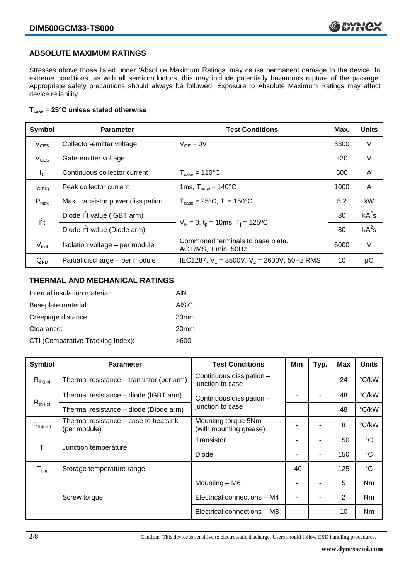#### **ABSOLUTE MAXIMUM RATINGS**

Stresses above those listed under 'Absolute Maximum Ratings' may cause permanent damage to the device. In extreme conditions, as with all semiconductors, this may include potentially hazardous rupture of the package. Appropriate safety precautions should always be followed. Exposure to Absolute Maximum Ratings may affect device reliability.

#### **Tcase = 25°C unless stated otherwise**

| Symbol           | <b>Parameter</b>                  | <b>Test Conditions</b>                                   | Max. | <b>Units</b> |
|------------------|-----------------------------------|----------------------------------------------------------|------|--------------|
| $V_{CES}$        | Collector-emitter voltage         | $V_{GE} = 0V$                                            | 3300 | V            |
| $V_{GES}$        | Gate-emitter voltage              |                                                          | ±20  | $\vee$       |
| $I_{\rm C}$      | Continuous collector current      | $T_{\text{case}} = 110^{\circ}C$                         | 500  | A            |
| $I_{C(PK)}$      | Peak collector current            | 1ms, $T_{\text{case}} = 140^{\circ}$ C                   | 1000 | A            |
| $P_{\text{max}}$ | Max. transistor power dissipation | $T_{\text{case}} = 25^{\circ}C$ , $T_i = 150^{\circ}C$   | 5.2  | kW           |
| $I^2t$           | Diode $I^2$ t value (IGBT arm)    | $V_R = 0$ , $t_p = 10$ ms, T <sub>i</sub> = 125°C        |      | $kA^2s$      |
|                  | Diode $I^2$ t value (Diode arm)   |                                                          |      | $kA^2s$      |
| $V_{\sf isol}$   | Isolation voltage - per module    | Commoned terminals to base plate.<br>AC RMS, 1 min, 50Hz | 6000 | $\vee$       |
| $Q_{PD}$         | Partial discharge - per module    | IEC1287, $V_1 = 3500V$ , $V_2 = 2600V$ , 50Hz RMS        | 10   | рC           |

#### **THERMAL AND MECHANICAL RATINGS**

| Internal insulation material:     | AIN              |
|-----------------------------------|------------------|
| Baseplate material:               | <b>AISiC</b>     |
| Creepage distance:                | 33mm             |
| Clearance:                        | 20 <sub>mm</sub> |
| CTI (Comparative Tracking Index): | >600             |

| <b>Symbol</b>    | <b>Parameter</b>                                      | <b>Test Conditions</b>                        | Min   | Typ. | Max | <b>Units</b> |
|------------------|-------------------------------------------------------|-----------------------------------------------|-------|------|-----|--------------|
| $R_{th(j-c)}$    | Thermal resistance – transistor (per arm)             | Continuous dissipation -<br>junction to case  |       |      | 24  | °C/kW        |
|                  | Thermal resistance – diode (IGBT arm)                 | Continuous dissipation -                      |       |      | 48  | °C/kW        |
| $R_{th(j-c)}$    | Thermal resistance - diode (Diode arm)                | junction to case                              |       |      | 48  | °C/kW        |
| $R_{th(c-h)}$    | Thermal resistance – case to heatsink<br>(per module) | Mounting torque 5Nm<br>(with mounting grease) |       | ۰    | 8   | °C/kW        |
| T <sub>i</sub>   |                                                       | Transistor                                    |       | ۰    | 150 | $^{\circ}C$  |
|                  | Junction temperature                                  | Diode                                         |       | ۰    | 150 | $^{\circ}C$  |
| $T_{\text{stg}}$ | Storage temperature range                             |                                               | $-40$ | ۰    | 125 | $^{\circ}C$  |
|                  |                                                       | Mounting - M6                                 |       | ۰    | 5   | Nm           |
|                  | Screw torque                                          | Electrical connections - M4                   |       |      | 2   | <b>Nm</b>    |
|                  |                                                       | Electrical connections - M8                   |       |      | 10  | Nm           |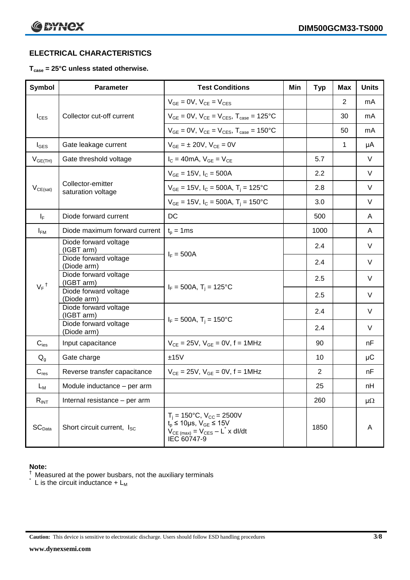### **ELECTRICAL CHARACTERISTICS**

#### **Tcase = 25°C unless stated otherwise.**

| <b>Symbol</b>      | <b>Parameter</b>                        | <b>Test Conditions</b>                                                                                                                                            | Min | <b>Typ</b>     | Max | <b>Units</b> |
|--------------------|-----------------------------------------|-------------------------------------------------------------------------------------------------------------------------------------------------------------------|-----|----------------|-----|--------------|
|                    |                                         | $V_{GE} = 0V$ , $V_{CE} = V_{CES}$                                                                                                                                |     |                | 2   | mA.          |
| $I_{\text{CES}}$   | Collector cut-off current               | $V_{GF} = 0V$ , $V_{CF} = V_{CFS}$ , $T_{case} = 125^{\circ}C$                                                                                                    |     |                | 30  | mA           |
|                    |                                         | $V_{GF} = 0V$ , $V_{CF} = V_{CES}$ , $T_{case} = 150^{\circ}C$                                                                                                    |     |                | 50  | mA           |
| $I_{\text{GES}}$   | Gate leakage current                    | $V_{GE} = \pm 20V$ , $V_{CE} = 0V$                                                                                                                                |     |                | 1   | μA           |
| $V_{GE(TH)}$       | Gate threshold voltage                  | $I_C = 40mA$ , $V_{GE} = V_{CE}$                                                                                                                                  |     | 5.7            |     | V            |
|                    |                                         | $V_{GE}$ = 15V, $I_C$ = 500A                                                                                                                                      |     | 2.2            |     | V            |
| $V_{CE(sat)}$      | Collector-emitter<br>saturation voltage | $V_{GE}$ = 15V, $I_C$ = 500A, T <sub>i</sub> = 125°C                                                                                                              |     | 2.8            |     | V            |
|                    |                                         | $V_{GE}$ = 15V, $I_C$ = 500A, T <sub>i</sub> = 150°C                                                                                                              |     | 3.0            |     | V            |
| $I_F$              | Diode forward current                   | DC                                                                                                                                                                |     | 500            |     | A            |
| $I_{FM}$           | Diode maximum forward current           | $t_p = 1$ ms                                                                                                                                                      |     | 1000           |     | A            |
|                    | Diode forward voltage<br>(IGBT arm)     | $I_F = 500A$                                                                                                                                                      |     | 2.4            |     | V            |
|                    | Diode forward voltage                   |                                                                                                                                                                   |     | 2.4            |     | V            |
|                    | (Diode arm)<br>Diode forward voltage    |                                                                                                                                                                   |     | 2.5            |     | V            |
| $V_F$ <sup>†</sup> | (IGBT arm)<br>Diode forward voltage     | $I_F = 500A$ , $T_i = 125^{\circ}C$                                                                                                                               |     |                |     |              |
|                    | (Diode arm)<br>Diode forward voltage    |                                                                                                                                                                   |     | 2.5            |     | $\vee$       |
|                    | (IGBT arm)                              | $I_F = 500A$ , $T_i = 150^{\circ}C$                                                                                                                               |     | 2.4            |     | $\vee$       |
|                    | Diode forward voltage<br>(Diode arm)    |                                                                                                                                                                   |     | 2.4            |     | $\vee$       |
| $C_{\text{ies}}$   | Input capacitance                       | $V_{CE} = 25V$ , $V_{GE} = 0V$ , f = 1MHz                                                                                                                         |     | 90             |     | nF           |
| $Q_{q}$            | Gate charge                             | ±15V                                                                                                                                                              |     | 10             |     | μC           |
| $C_{res}$          | Reverse transfer capacitance            | $V_{CE} = 25V$ , $V_{GE} = 0V$ , f = 1MHz                                                                                                                         |     | $\overline{2}$ |     | nF           |
| $L_M$              | Module inductance - per arm             |                                                                                                                                                                   |     | 25             |     | nH           |
| $R_{INT}$          | Internal resistance - per arm           |                                                                                                                                                                   |     | 260            |     | $\mu\Omega$  |
| $SC_{Data}$        | Short circuit current, I <sub>SC</sub>  | $T_i = 150^{\circ}C$ , $V_{CC} = 2500V$<br>$t_p \le 10 \mu s$ , $V_{GE} \le 15V$<br>$V_{CE \text{ (max)}} = V_{CES} - L^{\dagger} x \text{ dI/dt}$<br>IEC 60747-9 |     | 1850           |     | A            |

#### **Note:**

 $\dagger$  Measured at the power busbars, not the auxiliary terminals

 $\check{\phantom{a}}$  L is the circuit inductance + L<sub>M</sub>

**Caution:** This device is sensitive to electrostatic discharge. Users should follow ESD handling procedures **3/8**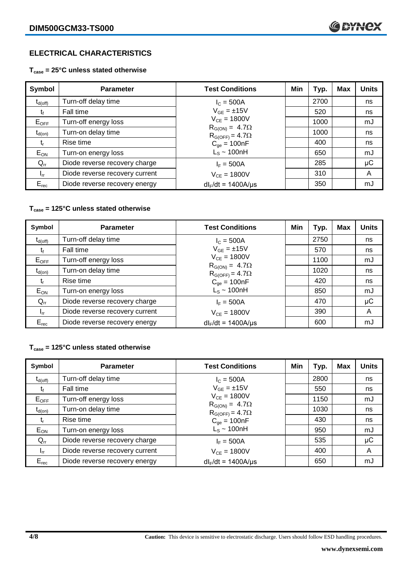### **ELECTRICAL CHARACTERISTICS**

**Tcase = 25°C unless stated otherwise**

| Symbol                      | <b>Parameter</b>               | <b>Test Conditions</b>                              | Min | Typ. | Max | <b>Units</b> |
|-----------------------------|--------------------------------|-----------------------------------------------------|-----|------|-----|--------------|
| $t_{d(\text{off})}$         | Turn-off delay time            | $I_c = 500A$                                        |     | 2700 |     | ns           |
| $t_{\rm f}$                 | Fall time                      | $V_{GE} = \pm 15V$                                  |     | 520  |     | ns           |
| $E_{OFF}$                   | Turn-off energy loss           | $V_{CF} = 1800V$                                    |     | 1000 |     | mJ           |
| $t_{d(on)}$                 | Turn-on delay time             | $R_{G(ON)} = 4.7\Omega$<br>$R_{G(OFF)} = 4.7\Omega$ |     | 1000 |     | ns           |
| $\mathfrak{r}_{\mathsf{r}}$ | Rise time                      | $C_{qe} = 100nF$                                    |     | 400  |     | ns           |
| $E_{ON}$                    | Turn-on energy loss            | $L_s \sim 100nH$                                    |     | 650  |     | mJ           |
| $Q_{rr}$                    | Diode reverse recovery charge  | $I_F = 500A$                                        |     | 285  |     | $\mu$ C      |
| $I_{rr}$                    | Diode reverse recovery current | $V_{CF} = 1800V$                                    |     | 310  |     | A            |
| $E_{rec}$                   | Diode reverse recovery energy  | $dl_F/dt = 1400A/\mu s$                             |     | 350  |     | mJ           |

#### **Tcase = 125°C unless stated otherwise**

| Symbol              | <b>Parameter</b>               | <b>Test Conditions</b>                              | Min | Typ. | Max | <b>Units</b> |
|---------------------|--------------------------------|-----------------------------------------------------|-----|------|-----|--------------|
| $t_{d(\text{off})}$ | Turn-off delay time            | $I_{C} = 500A$                                      |     | 2750 |     | ns           |
| t                   | Fall time                      | $V_{GF} = \pm 15V$                                  |     | 570  |     | ns           |
| $E_{OFF}$           | Turn-off energy loss           | $V_{CE} = 1800V$                                    |     | 1100 |     | mJ           |
| $t_{d(on)}$         | Turn-on delay time             | $R_{G(ON)} = 4.7\Omega$<br>$R_{G(OFF)} = 4.7\Omega$ |     | 1020 |     | ns           |
| t,                  | Rise time                      | $C_{qe} = 100nF$                                    |     | 420  |     | ns           |
| $E_{ON}$            | Turn-on energy loss            | $L_s \sim 100hH$                                    |     | 850  |     | mJ           |
| $Q_{rr}$            | Diode reverse recovery charge  | $I_F = 500A$                                        |     | 470  |     | μC           |
| $I_{rr}$            | Diode reverse recovery current | $V_{CF} = 1800V$                                    |     | 390  |     | A            |
| $E_{rec}$           | Diode reverse recovery energy  | $dl_F/dt = 1400A/\mu s$                             |     | 600  |     | mJ           |

#### **Tcase = 125°C unless stated otherwise**

| Symbol              | <b>Parameter</b>               | <b>Test Conditions</b>                              | Min | Typ. | <b>Max</b> | <b>Units</b> |
|---------------------|--------------------------------|-----------------------------------------------------|-----|------|------------|--------------|
| $t_{d(\text{off})}$ | Turn-off delay time            | $I_{C} = 500A$                                      |     | 2800 |            | ns           |
| t,                  | Fall time                      | $V_{GE} = \pm 15V$                                  |     | 550  |            | ns           |
| $E_{OFF}$           | Turn-off energy loss           | $V_{CF} = 1800V$                                    |     | 1150 |            | mJ           |
| $t_{d(on)}$         | Turn-on delay time             | $R_{G(ON)} = 4.7\Omega$<br>$R_{G(OFF)} = 4.7\Omega$ |     | 1030 |            | ns           |
| t,                  | Rise time                      | $C_{qe} = 100nF$                                    |     | 430  |            | ns           |
| $E_{ON}$            | Turn-on energy loss            | $L_s \sim 100nH$                                    |     | 950  |            | mJ           |
| $Q_{rr}$            | Diode reverse recovery charge  | $I_F = 500A$                                        |     | 535  |            | μC           |
| $I_{rr}$            | Diode reverse recovery current | $V_{CF} = 1800V$                                    |     | 400  |            | A            |
| $E_{rec}$           | Diode reverse recovery energy  | $dl_F/dt = 1400A/\mu s$                             |     | 650  |            | mJ           |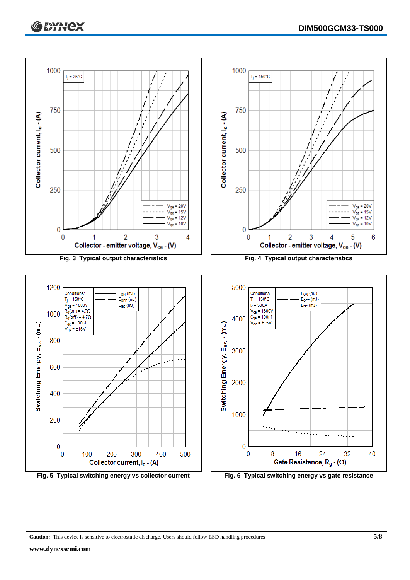

**Caution:** This device is sensitive to electrostatic discharge. Users should follow ESD handling procedures **5/8**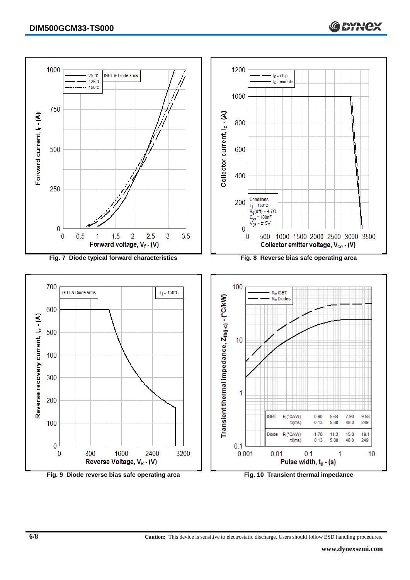

**6/8 Caution:** This device is sensitive to electrostatic discharge. Users should follow ESD handling procedures.

C \* Hex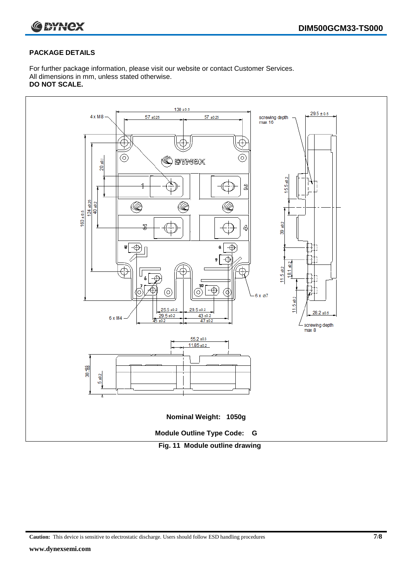

#### **PACKAGE DETAILS**

For further package information, please visit our website or contact Customer Services. All dimensions in mm, unless stated otherwise. **DO NOT SCALE.**



**Caution:** This device is sensitive to electrostatic discharge. Users should follow ESD handling procedures **7/8**